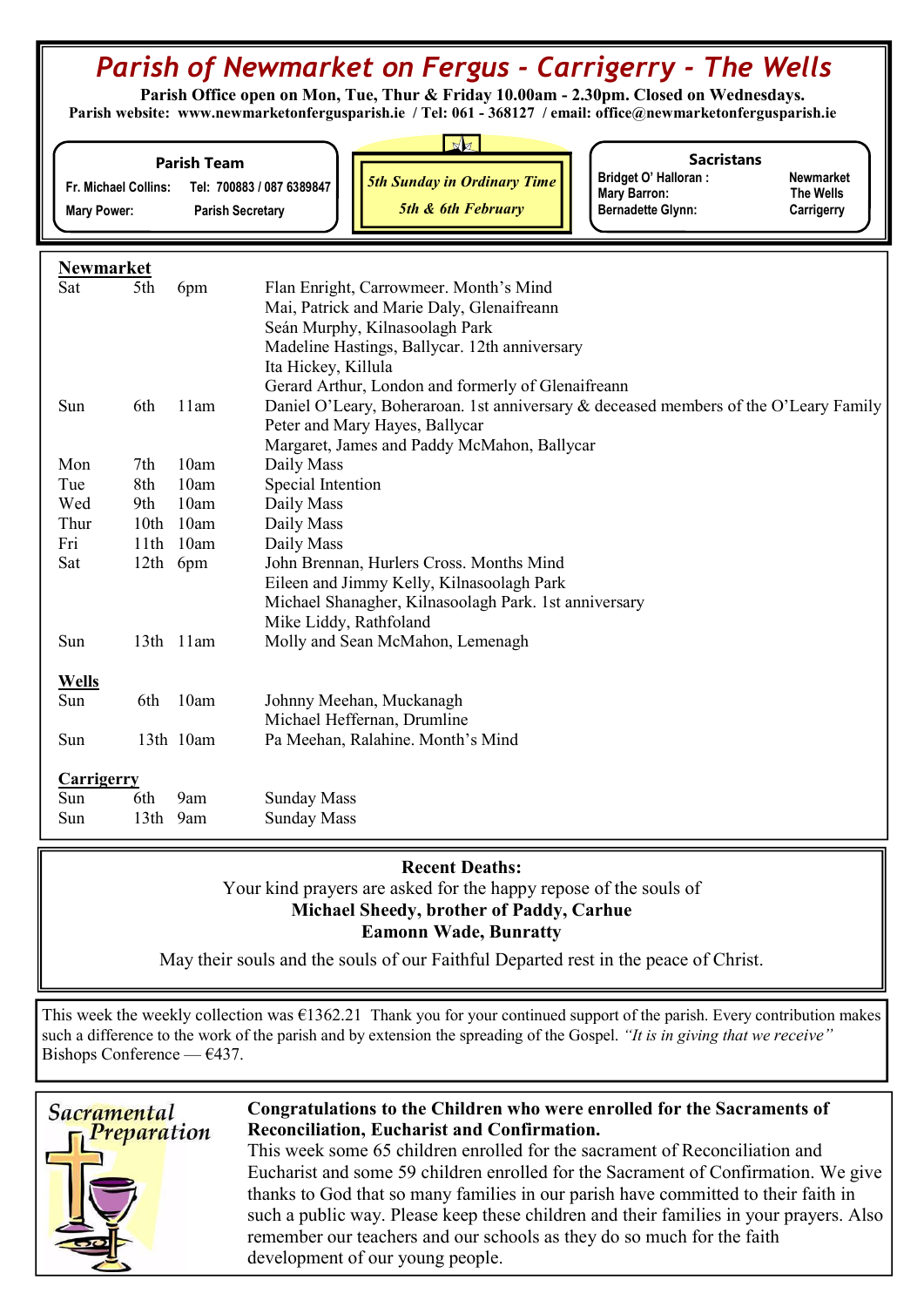# Parish of Newmarket on Fergus - Carrigerry - The Wells

 Parish Office open on Mon, Tue, Thur & Friday 10.00am - 2.30pm. Closed on Wednesdays. Parish website: www.newmarketonfergusparish.ie / Tel: 061 - 368127 / email: office@newmarketonfergusparish.ie

| Parish Team |                                                                                                                                                                          |
|-------------|--------------------------------------------------------------------------------------------------------------------------------------------------------------------------|
|             | $\mathbf{L}$ $\mathbf{L}$ $\mathbf{L}$ $\mathbf{L}$ $\mathbf{L}$ $\mathbf{L}$ $\mathbf{L}$ $\mathbf{L}$ $\mathbf{L}$ $\mathbf{L}$ $\mathbf{L}$ $\mathbf{L}$ $\mathbf{L}$ |

Fr. Michael Collins: Tel: 700883 / 087 6389847 Mary Power: Parish Secretary

5th Sunday in Ordinary Time 5th & 6th February

**Sacristans** 

Bridget O' Halloran : Newmarket<br>
Mary Barron: The Wells Mary Barron: Bernadette Glynn: Carrigerry

## Newmarket

| Sat               | 5th              | 6pm       | Flan Enright, Carrowmeer. Month's Mind                                               |
|-------------------|------------------|-----------|--------------------------------------------------------------------------------------|
|                   |                  |           | Mai, Patrick and Marie Daly, Glenaifreann                                            |
|                   |                  |           | Seán Murphy, Kilnasoolagh Park                                                       |
|                   |                  |           | Madeline Hastings, Ballycar. 12th anniversary                                        |
|                   |                  |           | Ita Hickey, Killula                                                                  |
|                   |                  |           | Gerard Arthur, London and formerly of Glenaifreann                                   |
| Sun               | 6th              | 11am      | Daniel O'Leary, Boheraroan. 1st anniversary & deceased members of the O'Leary Family |
|                   |                  |           | Peter and Mary Hayes, Ballycar                                                       |
|                   |                  |           | Margaret, James and Paddy McMahon, Ballycar                                          |
| Mon               | 7th              | 10am      | Daily Mass                                                                           |
| Tue               | 8th              | 10am      | Special Intention                                                                    |
| Wed               | 9th              | 10am      | Daily Mass                                                                           |
| Thur              | 10th             | 10am      | Daily Mass                                                                           |
| Fri               | 11th             | 10am      | Daily Mass                                                                           |
| Sat               |                  | 12th 6pm  | John Brennan, Hurlers Cross. Months Mind                                             |
|                   |                  |           | Eileen and Jimmy Kelly, Kilnasoolagh Park                                            |
|                   |                  |           | Michael Shanagher, Kilnasoolagh Park. 1st anniversary                                |
|                   |                  |           | Mike Liddy, Rathfoland                                                               |
| Sun               |                  | 13th 11am | Molly and Sean McMahon, Lemenagh                                                     |
| <b>Wells</b>      |                  |           |                                                                                      |
| Sun               | 6th              | 10am      | Johnny Meehan, Muckanagh                                                             |
|                   |                  |           | Michael Heffernan, Drumline                                                          |
| Sun               |                  | 13th 10am | Pa Meehan, Ralahine. Month's Mind                                                    |
|                   |                  |           |                                                                                      |
| Carrigerry<br>Sun | 6th              | 9am       | <b>Sunday Mass</b>                                                                   |
| Sun               | 13 <sup>th</sup> | 9am       | <b>Sunday Mass</b>                                                                   |
|                   |                  |           |                                                                                      |

#### Recent Deaths:

Your kind prayers are asked for the happy repose of the souls of Michael Sheedy, brother of Paddy, Carhue Eamonn Wade, Bunratty

May their souls and the souls of our Faithful Departed rest in the peace of Christ.

This week the weekly collection was  $\epsilon$ 1362.21 Thank you for your continued support of the parish. Every contribution makes such a difference to the work of the parish and by extension the spreading of the Gospel. "It is in giving that we receive" Bishops Conference —  $\epsilon$ 437.



## Congratulations to the Children who were enrolled for the Sacraments of Reconciliation, Eucharist and Confirmation.

This week some 65 children enrolled for the sacrament of Reconciliation and Eucharist and some 59 children enrolled for the Sacrament of Confirmation. We give thanks to God that so many families in our parish have committed to their faith in such a public way. Please keep these children and their families in your prayers. Also remember our teachers and our schools as they do so much for the faith development of our young people.